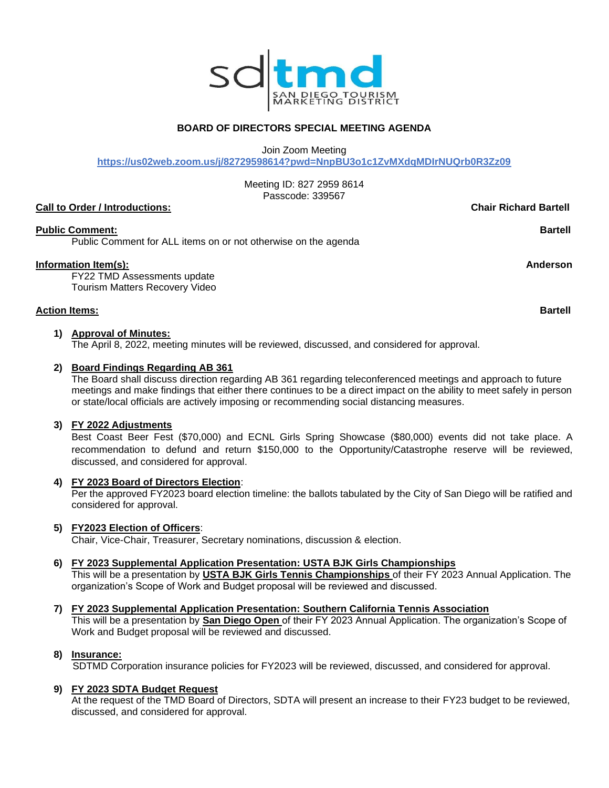

# **BOARD OF DIRECTORS SPECIAL MEETING AGENDA**

Join Zoom Meeting

**https://us02web.zoom.us/j/82729598614?pwd=NnpBU3o1c1ZvMXdqMDIrNUQrb0R3Zz09**

Meeting ID: 827 2959 8614 Passcode: 339567

#### **Call to Order / Introductions: Chair Richard Bartell**

### **Public Comment: Bartell**

Public Comment for ALL items on or not otherwise on the agenda

#### **Information Item(s): Anderson**

FY22 TMD Assessments update Tourism Matters Recovery Video

#### **Action Items: Bartell**

#### **1) Approval of Minutes:**

The April 8, 2022, meeting minutes will be reviewed, discussed, and considered for approval.

#### **2) Board Findings Regarding AB 361**

The Board shall discuss direction regarding AB 361 regarding teleconferenced meetings and approach to future meetings and make findings that either there continues to be a direct impact on the ability to meet safely in person or state/local officials are actively imposing or recommending social distancing measures.

#### **3) FY 2022 Adjustments**

Best Coast Beer Fest (\$70,000) and ECNL Girls Spring Showcase (\$80,000) events did not take place. A recommendation to defund and return \$150,000 to the Opportunity/Catastrophe reserve will be reviewed, discussed, and considered for approval.

#### **4) FY 2023 Board of Directors Election**:

Per the approved FY2023 board election timeline: the ballots tabulated by the City of San Diego will be ratified and considered for approval.

#### **5) FY2023 Election of Officers**:

Chair, Vice-Chair, Treasurer, Secretary nominations, discussion & election.

#### **6) FY 2023 Supplemental Application Presentation: USTA BJK Girls Championships**

This will be a presentation by **USTA BJK Girls Tennis Championships** of their FY 2023 Annual Application. The organization's Scope of Work and Budget proposal will be reviewed and discussed.

## **7) FY 2023 Supplemental Application Presentation: Southern California Tennis Association**

This will be a presentation by **San Diego Open** of their FY 2023 Annual Application. The organization's Scope of Work and Budget proposal will be reviewed and discussed.

#### **8) Insurance:**

SDTMD Corporation insurance policies for FY2023 will be reviewed, discussed, and considered for approval.

#### **9) FY 2023 SDTA Budget Request**

At the request of the TMD Board of Directors, SDTA will present an increase to their FY23 budget to be reviewed, discussed, and considered for approval.